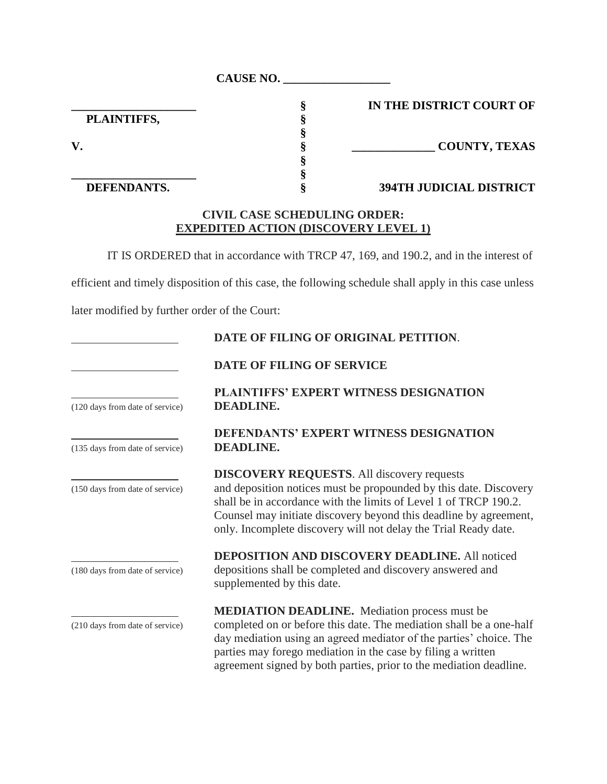| <b>CAUSE NO.</b> |  |
|------------------|--|
|                  |  |

 **PLAINTIFFS, §**

**\_\_\_\_\_\_\_\_\_\_\_\_\_\_\_\_\_\_\_\_\_ § IN THE DISTRICT COURT OF**

**V. § \_\_\_\_\_\_\_\_\_\_\_\_\_\_ COUNTY, TEXAS**

## **DEFENDANTS. § 394TH JUDICIAL DISTRICT**

## **CIVIL CASE SCHEDULING ORDER: EXPEDITED ACTION (DISCOVERY LEVEL 1)**

**§**

**§**

IT IS ORDERED that in accordance with TRCP 47, 169, and 190.2, and in the interest of

efficient and timely disposition of this case, the following schedule shall apply in this case unless

later modified by further order of the Court:

**\_\_\_\_\_\_\_\_\_\_\_\_\_\_\_\_\_\_\_\_\_ §**

|                                 | DATE OF FILING OF ORIGINAL PETITION.                                                                                                                                                                                                                                                                                               |
|---------------------------------|------------------------------------------------------------------------------------------------------------------------------------------------------------------------------------------------------------------------------------------------------------------------------------------------------------------------------------|
|                                 | <b>DATE OF FILING OF SERVICE</b>                                                                                                                                                                                                                                                                                                   |
| (120 days from date of service) | PLAINTIFFS' EXPERT WITNESS DESIGNATION<br><b>DEADLINE.</b>                                                                                                                                                                                                                                                                         |
| (135 days from date of service) | <b>DEFENDANTS' EXPERT WITNESS DESIGNATION</b><br><b>DEADLINE.</b>                                                                                                                                                                                                                                                                  |
| (150 days from date of service) | <b>DISCOVERY REQUESTS.</b> All discovery requests<br>and deposition notices must be propounded by this date. Discovery<br>shall be in accordance with the limits of Level 1 of TRCP 190.2.<br>Counsel may initiate discovery beyond this deadline by agreement,<br>only. Incomplete discovery will not delay the Trial Ready date. |
| (180 days from date of service) | <b>DEPOSITION AND DISCOVERY DEADLINE.</b> All noticed<br>depositions shall be completed and discovery answered and<br>supplemented by this date.                                                                                                                                                                                   |
| (210 days from date of service) | <b>MEDIATION DEADLINE.</b> Mediation process must be<br>completed on or before this date. The mediation shall be a one-half<br>day mediation using an agreed mediator of the parties' choice. The<br>parties may forego mediation in the case by filing a written                                                                  |

agreement signed by both parties, prior to the mediation deadline.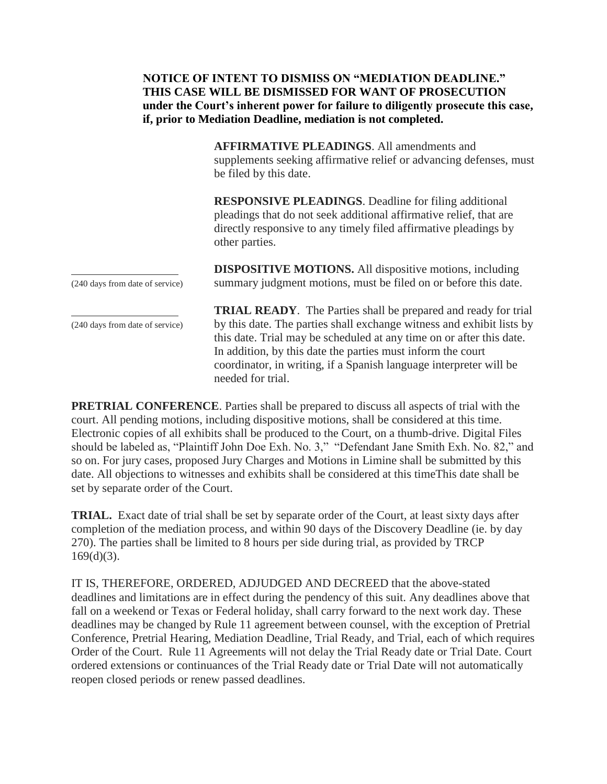**NOTICE OF INTENT TO DISMISS ON "MEDIATION DEADLINE." THIS CASE WILL BE DISMISSED FOR WANT OF PROSECUTION under the Court's inherent power for failure to diligently prosecute this case, if, prior to Mediation Deadline, mediation is not completed.**

> **AFFIRMATIVE PLEADINGS**. All amendments and supplements seeking affirmative relief or advancing defenses, must be filed by this date.

**RESPONSIVE PLEADINGS**. Deadline for filing additional pleadings that do not seek additional affirmative relief, that are directly responsive to any timely filed affirmative pleadings by other parties.

**DISPOSITIVE MOTIONS.** All dispositive motions, including (240 days from date of service) summary judgment motions, must be filed on or before this date.

**TRIAL READY**. The Parties shall be prepared and ready for trial (240 days from date of service) by this date. The parties shall exchange witness and exhibit lists by this date. Trial may be scheduled at any time on or after this date. In addition, by this date the parties must inform the court coordinator, in writing, if a Spanish language interpreter will be needed for trial.

**PRETRIAL CONFERENCE**. Parties shall be prepared to discuss all aspects of trial with the court. All pending motions, including dispositive motions, shall be considered at this time. Electronic copies of all exhibits shall be produced to the Court, on a thumb-drive. Digital Files should be labeled as, "Plaintiff John Doe Exh. No. 3," "Defendant Jane Smith Exh. No. 82," and so on. For jury cases, proposed Jury Charges and Motions in Limine shall be submitted by this date. All objections to witnesses and exhibits shall be considered at this timeThis date shall be set by separate order of the Court.

**TRIAL.** Exact date of trial shall be set by separate order of the Court, at least sixty days after completion of the mediation process, and within 90 days of the Discovery Deadline (ie. by day 270). The parties shall be limited to 8 hours per side during trial, as provided by TRCP  $169(d)(3)$ .

IT IS, THEREFORE, ORDERED, ADJUDGED AND DECREED that the above-stated deadlines and limitations are in effect during the pendency of this suit. Any deadlines above that fall on a weekend or Texas or Federal holiday, shall carry forward to the next work day. These deadlines may be changed by Rule 11 agreement between counsel, with the exception of Pretrial Conference, Pretrial Hearing, Mediation Deadline, Trial Ready, and Trial, each of which requires Order of the Court. Rule 11 Agreements will not delay the Trial Ready date or Trial Date. Court ordered extensions or continuances of the Trial Ready date or Trial Date will not automatically reopen closed periods or renew passed deadlines.